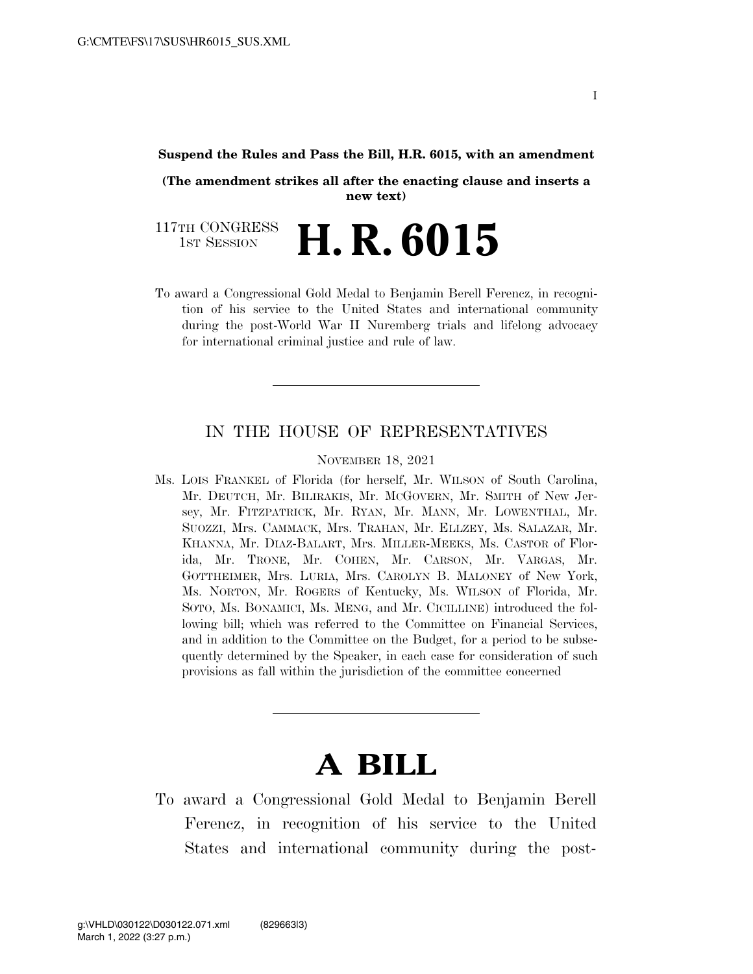#### **Suspend the Rules and Pass the Bill, H.R. 6015, with an amendment**

**(The amendment strikes all after the enacting clause and inserts a new text)** 

117TH CONGRESS TH CONGRESS **H. R. 6015** 

To award a Congressional Gold Medal to Benjamin Berell Ferencz, in recognition of his service to the United States and international community during the post-World War II Nuremberg trials and lifelong advocacy for international criminal justice and rule of law.

#### IN THE HOUSE OF REPRESENTATIVES

NOVEMBER 18, 2021

Ms. LOIS FRANKEL of Florida (for herself, Mr. WILSON of South Carolina, Mr. DEUTCH, Mr. BILIRAKIS, Mr. MCGOVERN, Mr. SMITH of New Jersey, Mr. FITZPATRICK, Mr. RYAN, Mr. MANN, Mr. LOWENTHAL, Mr. SUOZZI, Mrs. CAMMACK, Mrs. TRAHAN, Mr. ELLZEY, Ms. SALAZAR, Mr. KHANNA, Mr. DIAZ-BALART, Mrs. MILLER-MEEKS, Ms. CASTOR of Florida, Mr. TRONE, Mr. COHEN, Mr. CARSON, Mr. VARGAS, Mr. GOTTHEIMER, Mrs. LURIA, Mrs. CAROLYN B. MALONEY of New York, Ms. NORTON, Mr. ROGERS of Kentucky, Ms. WILSON of Florida, Mr. SOTO, Ms. BONAMICI, Ms. MENG, and Mr. CICILLINE) introduced the following bill; which was referred to the Committee on Financial Services, and in addition to the Committee on the Budget, for a period to be subsequently determined by the Speaker, in each case for consideration of such provisions as fall within the jurisdiction of the committee concerned

# **A BILL**

To award a Congressional Gold Medal to Benjamin Berell Ferencz, in recognition of his service to the United States and international community during the post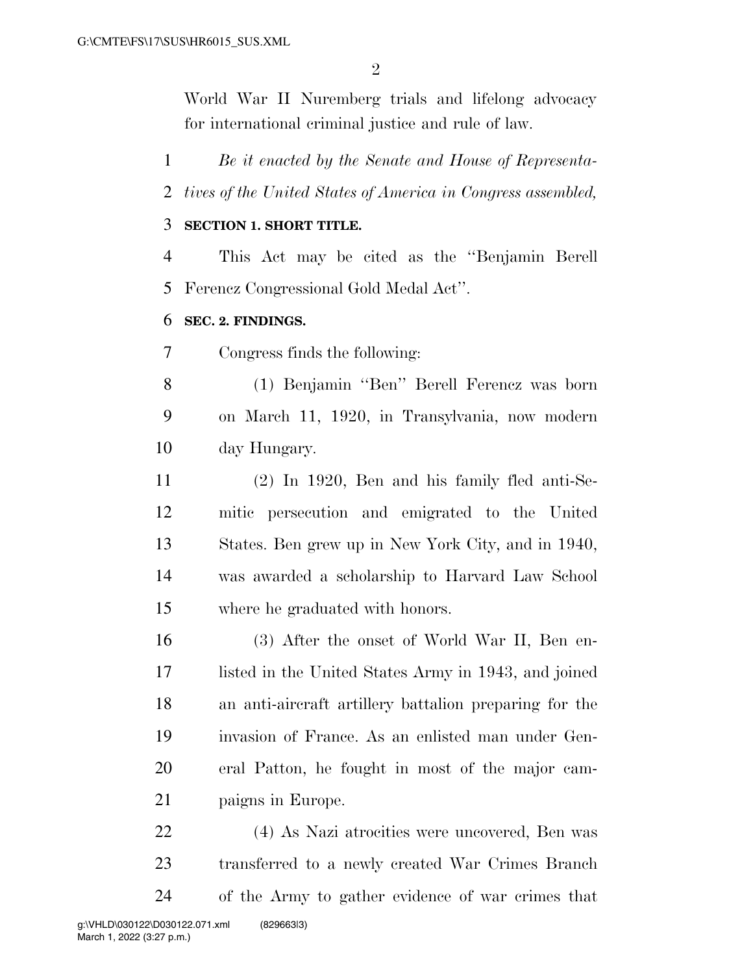World War II Nuremberg trials and lifelong advocacy for international criminal justice and rule of law.

 *Be it enacted by the Senate and House of Representa- tives of the United States of America in Congress assembled,*  **SECTION 1. SHORT TITLE.**  This Act may be cited as the ''Benjamin Berell Ferencz Congressional Gold Medal Act''. **SEC. 2. FINDINGS.**  Congress finds the following: (1) Benjamin ''Ben'' Berell Ferencz was born on March 11, 1920, in Transylvania, now modern day Hungary. (2) In 1920, Ben and his family fled anti-Se-mitic persecution and emigrated to the United

 States. Ben grew up in New York City, and in 1940, was awarded a scholarship to Harvard Law School where he graduated with honors.

 (3) After the onset of World War II, Ben en- listed in the United States Army in 1943, and joined an anti-aircraft artillery battalion preparing for the invasion of France. As an enlisted man under Gen- eral Patton, he fought in most of the major cam-paigns in Europe.

 (4) As Nazi atrocities were uncovered, Ben was transferred to a newly created War Crimes Branch of the Army to gather evidence of war crimes that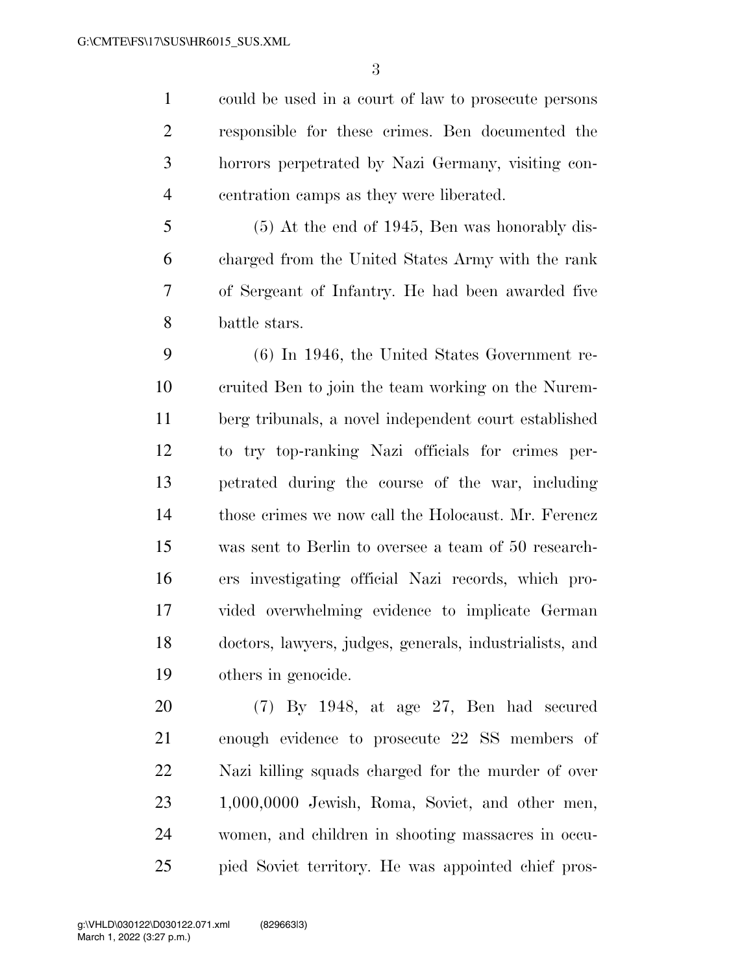could be used in a court of law to prosecute persons responsible for these crimes. Ben documented the horrors perpetrated by Nazi Germany, visiting con-centration camps as they were liberated.

 (5) At the end of 1945, Ben was honorably dis- charged from the United States Army with the rank of Sergeant of Infantry. He had been awarded five battle stars.

 (6) In 1946, the United States Government re- cruited Ben to join the team working on the Nurem- berg tribunals, a novel independent court established to try top-ranking Nazi officials for crimes per- petrated during the course of the war, including those crimes we now call the Holocaust. Mr. Ferencz was sent to Berlin to oversee a team of 50 research- ers investigating official Nazi records, which pro- vided overwhelming evidence to implicate German doctors, lawyers, judges, generals, industrialists, and others in genocide.

 (7) By 1948, at age 27, Ben had secured enough evidence to prosecute 22 SS members of Nazi killing squads charged for the murder of over 1,000,0000 Jewish, Roma, Soviet, and other men, women, and children in shooting massacres in occu-pied Soviet territory. He was appointed chief pros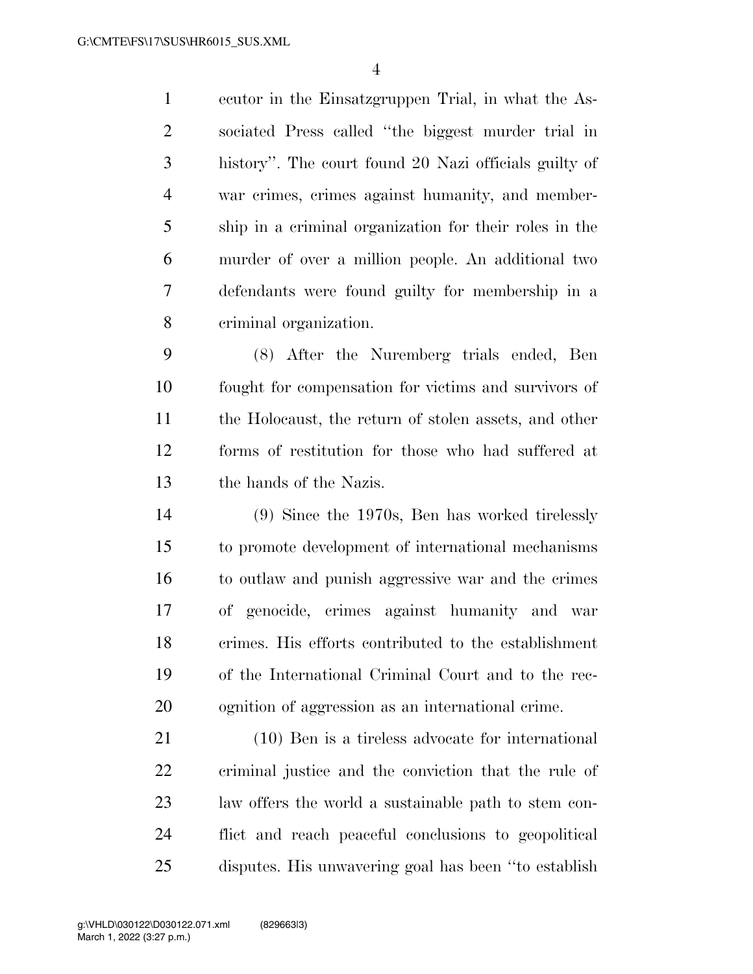ecutor in the Einsatzgruppen Trial, in what the As- sociated Press called ''the biggest murder trial in history''. The court found 20 Nazi officials guilty of war crimes, crimes against humanity, and member- ship in a criminal organization for their roles in the murder of over a million people. An additional two defendants were found guilty for membership in a criminal organization.

 (8) After the Nuremberg trials ended, Ben fought for compensation for victims and survivors of the Holocaust, the return of stolen assets, and other forms of restitution for those who had suffered at the hands of the Nazis.

 (9) Since the 1970s, Ben has worked tirelessly to promote development of international mechanisms to outlaw and punish aggressive war and the crimes of genocide, crimes against humanity and war crimes. His efforts contributed to the establishment of the International Criminal Court and to the rec-ognition of aggression as an international crime.

 (10) Ben is a tireless advocate for international criminal justice and the conviction that the rule of law offers the world a sustainable path to stem con- flict and reach peaceful conclusions to geopolitical disputes. His unwavering goal has been ''to establish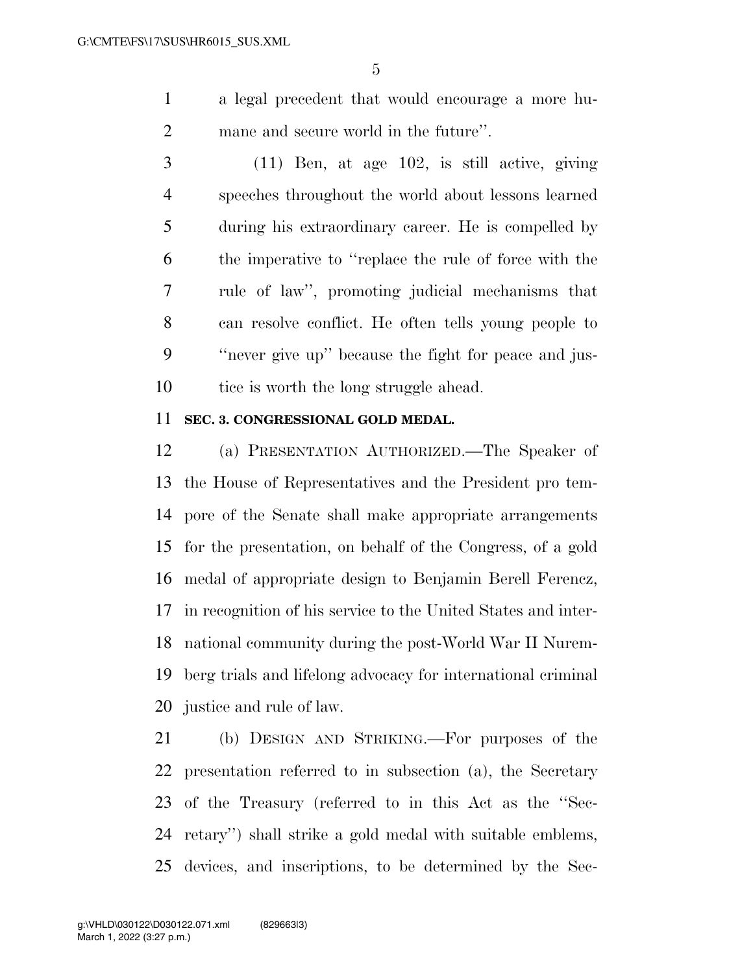a legal precedent that would encourage a more hu-mane and secure world in the future''.

 (11) Ben, at age 102, is still active, giving speeches throughout the world about lessons learned during his extraordinary career. He is compelled by the imperative to ''replace the rule of force with the rule of law'', promoting judicial mechanisms that can resolve conflict. He often tells young people to ''never give up'' because the fight for peace and jus-10 tice is worth the long struggle ahead.

### **SEC. 3. CONGRESSIONAL GOLD MEDAL.**

 (a) PRESENTATION AUTHORIZED.—The Speaker of the House of Representatives and the President pro tem- pore of the Senate shall make appropriate arrangements for the presentation, on behalf of the Congress, of a gold medal of appropriate design to Benjamin Berell Ferencz, in recognition of his service to the United States and inter- national community during the post-World War II Nurem- berg trials and lifelong advocacy for international criminal justice and rule of law.

 (b) DESIGN AND STRIKING.—For purposes of the presentation referred to in subsection (a), the Secretary of the Treasury (referred to in this Act as the ''Sec- retary'') shall strike a gold medal with suitable emblems, devices, and inscriptions, to be determined by the Sec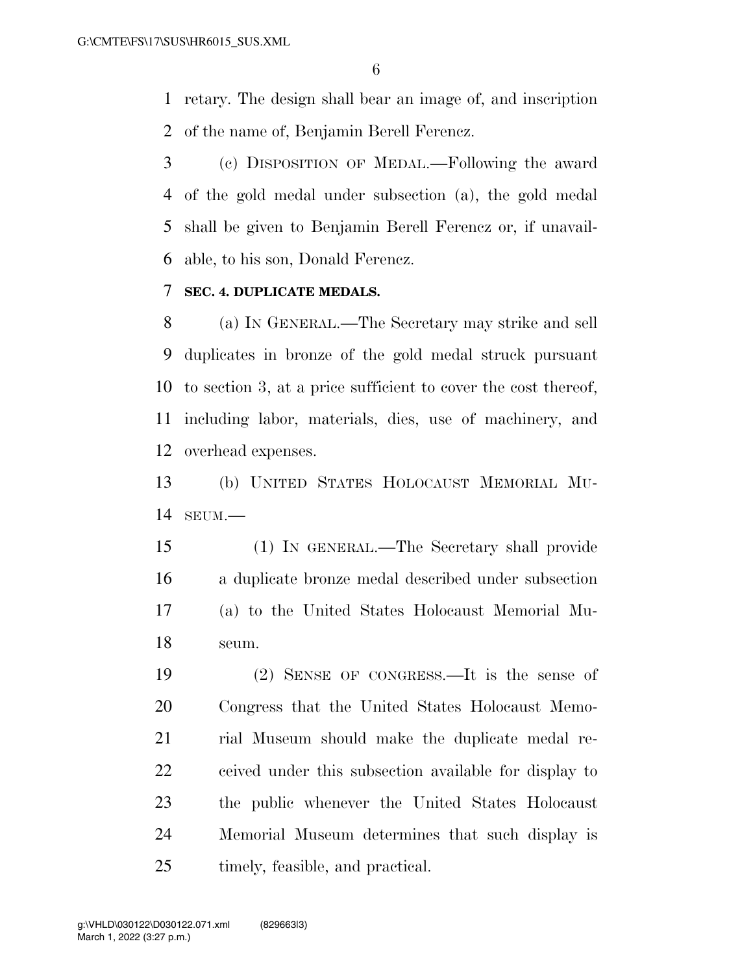retary. The design shall bear an image of, and inscription of the name of, Benjamin Berell Ferencz.

 (c) DISPOSITION OF MEDAL.—Following the award of the gold medal under subsection (a), the gold medal shall be given to Benjamin Berell Ferencz or, if unavail-able, to his son, Donald Ferencz.

## **SEC. 4. DUPLICATE MEDALS.**

 (a) IN GENERAL.—The Secretary may strike and sell duplicates in bronze of the gold medal struck pursuant to section 3, at a price sufficient to cover the cost thereof, including labor, materials, dies, use of machinery, and overhead expenses.

 (b) UNITED STATES HOLOCAUST MEMORIAL MU-SEUM.—

 (1) IN GENERAL.—The Secretary shall provide a duplicate bronze medal described under subsection (a) to the United States Holocaust Memorial Mu-seum.

 (2) SENSE OF CONGRESS.—It is the sense of Congress that the United States Holocaust Memo- rial Museum should make the duplicate medal re- ceived under this subsection available for display to the public whenever the United States Holocaust Memorial Museum determines that such display is timely, feasible, and practical.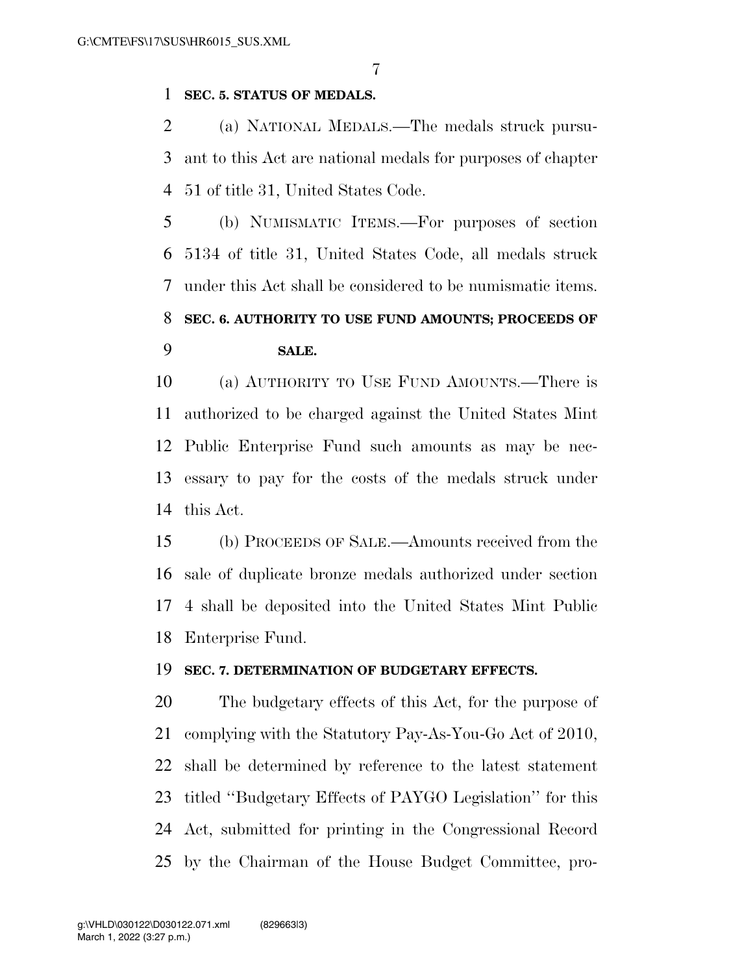### **SEC. 5. STATUS OF MEDALS.**

 (a) NATIONAL MEDALS.—The medals struck pursu- ant to this Act are national medals for purposes of chapter 51 of title 31, United States Code.

 (b) NUMISMATIC ITEMS.—For purposes of section 5134 of title 31, United States Code, all medals struck under this Act shall be considered to be numismatic items. **SEC. 6. AUTHORITY TO USE FUND AMOUNTS; PROCEEDS OF SALE.** 

 (a) AUTHORITY TO USE FUND AMOUNTS.—There is authorized to be charged against the United States Mint Public Enterprise Fund such amounts as may be nec- essary to pay for the costs of the medals struck under this Act.

 (b) PROCEEDS OF SALE.—Amounts received from the sale of duplicate bronze medals authorized under section 4 shall be deposited into the United States Mint Public Enterprise Fund.

#### **SEC. 7. DETERMINATION OF BUDGETARY EFFECTS.**

 The budgetary effects of this Act, for the purpose of complying with the Statutory Pay-As-You-Go Act of 2010, shall be determined by reference to the latest statement titled ''Budgetary Effects of PAYGO Legislation'' for this Act, submitted for printing in the Congressional Record by the Chairman of the House Budget Committee, pro-